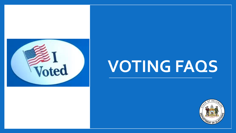

# **VOTING FAQS**

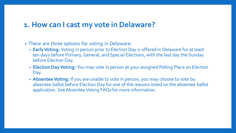#### **1. How can I cast my vote in Delaware?**

- There are three options for voting in Delaware:
	- **Early Voting:** Voting in person prior to Election Day is offered in Delaware for at least ten days before Primary, General, and Special Elections, with the last day the Sunday before Election Day.
	- **Election Day Voting:** You may vote in person at your assigned Polling Place on Election Day.
	- **Absentee Voting:** If you are unable to vote in person, you may choose to vote by absentee ballot before Election Day for one of the reasons listed on the absentee ballot application. See Absentee Voting FAQs for more information.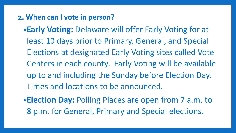- **2. When can I vote in person?**
	- •**Early Voting:** Delaware will offer Early Voting for at least 10 days prior to Primary, General, and Special Elections at designated Early Voting sites called Vote Centers in each county. Early Voting will be available up to and including the Sunday before Election Day. Times and locations to be announced.
	- •**Election Day:** Polling Places are open from 7 a.m. to 8 p.m. for General, Primary and Special elections.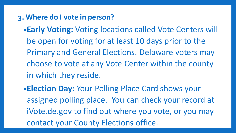- **3. Where do I vote in person?**
	- •**Early Voting:** Voting locations called Vote Centers will be open for voting for at least 10 days prior to the Primary and General Elections. Delaware voters may choose to vote at any Vote Center within the county in which they reside.
	- •**Election Day:** Your Polling Place Card shows your assigned polling place. You can check your record at iVote.de.gov to find out where you vote, or you may contact your County Elections office.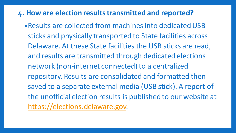#### **4. How are election results transmitted and reported?**

•Results are collected from machines into dedicated USB sticks and physically transported to State facilities across Delaware. At these State facilities the USB sticks are read, and results are transmitted through dedicated elections network (non-internet connected) to a centralized repository. Results are consolidated and formatted then saved to a separate external media (USB stick). A report of the unofficial election results is published to our website at [https://elections.delaware.gov.](https://elections.delaware.gov/)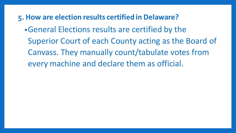**5. How are election results certified in Delaware?**

•General Elections results are certified by the Superior Court of each County acting as the Board of Canvass. They manually count/tabulate votes from every machine and declare them as official.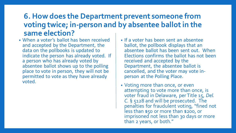## **6. How does the Department prevent someone from voting twice; in-person and by absentee ballot in the same election?**

- When a voter's ballot has been received and accepted by the Department, the data on the pollbooks is updated to indicate the person has already voted. If a person who has already voted by absentee ballot shows up to the polling place to vote in person, they will not be permitted to vote as they have already voted.
- If a voter has been sent an absentee ballot, the pollbook displays that an absentee ballot has been sent out. When Elections confirms the ballot has not been received and accepted by the Department, the absentee ballot is cancelled, and the voter may vote inperson at the Polling Place.
- Voting more than once, or even attempting to vote more than once, is voter fraud in Delaware, per Title 15, *Del. C.* § 5128 and will be prosecuted. The penalties for fraudulent voting, "fined not less than \$50 or more than \$200, or imprisoned not less than 30 days or more than 2 years, or both."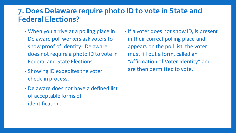## **7. Does Delaware require photo ID to vote in State and Federal Elections?**

- When you arrive at a polling place in Delaware poll workers ask voters to show proof of identity. Delaware does not require a photo ID to vote in Federal and State Elections.
- Showing ID expedites the voter check-in process.
- Delaware does not have a defined list of acceptable forms of identification.

• If a voter does not show ID, is present in their correct polling place and appears on the poll list, the voter must fill out a form, called an "Affirmation of Voter Identity" and are then permitted to vote.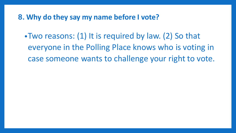**8. Why do they say my name before I vote?**

•Two reasons: (1) It is required by law. (2) So that everyone in the Polling Place knows who is voting in case someone wants to challenge your right to vote.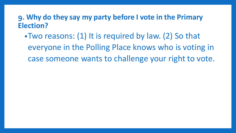#### **9. Why do they say my party before I vote in the Primary Election?**

•Two reasons: (1) It is required by law. (2) So that everyone in the Polling Place knows who is voting in case someone wants to challenge your right to vote.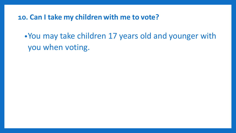**10. Can I take my children with me to vote?**

•You may take children 17 years old and younger with you when voting.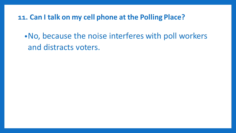**11. Can I talk on my cell phone at the Polling Place?**

•No, because the noise interferes with poll workers and distracts voters.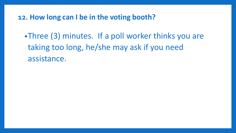**12. How long can I be in the voting booth?**

•Three (3) minutes. If a poll worker thinks you are taking too long, he/she may ask if you need assistance.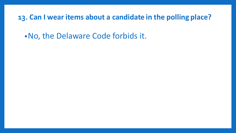**13. Can I wear items about a candidate in the polling place?**

•No, the Delaware Code forbids it.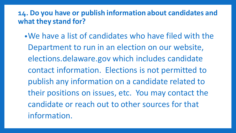## **14. Do you have or publish information about candidates and what they stand for?**

•We have a list of candidates who have filed with the Department to run in an election on our website, elections.delaware.gov which includes candidate contact information. Elections is not permitted to publish any information on a candidate related to their positions on issues, etc. You may contact the candidate or reach out to other sources for that information.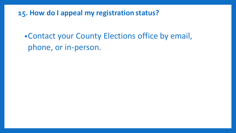**15. How do I appeal my registration status?**

•Contact your County Elections office by email, phone, or in-person.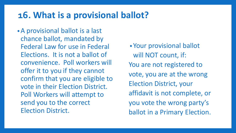## **16. What is a provisional ballot?**

•A provisional ballot is a last chance ballot, mandated by Federal Law for use in Federal Elections. It is not a ballot of convenience. Poll workers will offer it to you if they cannot confirm that you are eligible to vote in their Election District. Poll Workers will attempt to send you to the correct Election District.

•Your provisional ballot will NOT count, if: You are not registered to vote, you are at the wrong Election District, your affidavit is not complete, or you vote the wrong party's ballot in a Primary Election.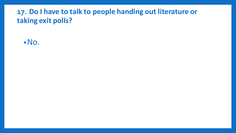## **17. Do I have to talk to people handing out literature or taking exit polls?**

•No.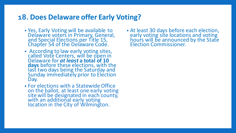#### **18. Does Delaware offer Early Voting?**

- Yes, Early Voting will be available to Delaware voters in Primary, General, and Special Elections per Title 15, Chapter 54 of the Delaware Code.
- According to law early voting sites, called Vote Centers, will be open in Delaware for *at least* **a total of 10 days** before these elections, with the last two days being the Saturday and Sunday immediately prior to Election Day.
- For elections with a Statewide Office on the ballot, at least one early voting site will be designated in each county, with an additional early voting location in the City of Wilmington.

• At least 30 days before each election, early voting site locations and voting hours will be announced by the State Election Commissioner.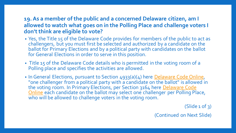#### **19. As a member of the public and a concerned Delaware citizen, am I allowed to watch what goes on in the Polling Place and challenge voters I don't think are eligible to vote?**

- Yes, the Title 15 of the Delaware Code provides for members of the public to act as challengers, but you must first be selected and authorized by a candidate on the ballot for Primary Elections and by a political party with candidates on the ballot for General Elections in order to serve in this position.
- Title 15 of the Delaware Code details who is permitted in the voting room of a Polling place and specifies the activities are allowed.
- In General Elections, pursuant to Section 4933(a)(4) here [Delaware Code Online,](https://delcode.delaware.gov/title15/c049/sc02/index.html) "one challenger from a political party with a candidate on the ballot" is allowed in [the voting room. In Primary Elections, per Section 3164 here](https://delcode.delaware.gov/title15/c031/sc04/index.html) Delaware Code Online each candidate on the ballot may select one challenger per Polling Place, who will be allowed to challenge voters in the voting room.

 $(Slide 1 of 3)$ 

(Continued on Next Slide)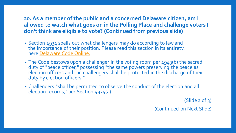#### **20. As a member of the public and a concerned Delaware citizen, am I allowed to watch what goes on in the Polling Place and challenge voters I don't think are eligible to vote? (Continued from previous slide)**

- Section 4934 spells out what challengers may do according to law and the importance of their position. Please read this section in its entirety, here [Delaware Code Online.](https://delcode.delaware.gov/title15/c049/sc02/index.html)
- The Code bestows upon a challenger in the voting room per 4943(b) the sacred duty of "peace officer," possessing "the same powers preserving the peace as election officers and the challengers shall be protected in the discharge of their duty by election officers."
- Challengers "shall be permitted to observe the conduct of the election and all election records," per Section 4934(a).

 $(Slide 2 of 3)$ 

(Continued on Next Slide)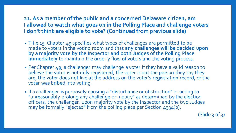#### **21. As a member of the public and a concerned Delaware citizen, am I allowed to watch what goes on in the Polling Place and challenge voters I don'tthink are eligible to vote? (Continued from previous slide)**

- Title 15, Chapter 49 specifies what types of challenges are permitted to be made to voters in the voting room and that **any challenges will be decided upon by a majority vote by the Inspector and both Judges of the Polling Place immediately** to maintain the orderly flow of voters and the voting process.
- Per Chapter 49, a challenger may challenge a voter if they have a valid reason to believe the voter is not duly registered, the voter is not the person they say they are, the voter does not live at the address on the voter's registration record, or the voter was bribed into voting.
- If a challenger is purposely causing a "disturbance or obstruction" or acting to "unreasonably prolong any challenge or inquiry" as determined by the election officers, the challenger, upon majority vote by the Inspector and the two Judges may be formally "ejected" from the polling place per Section 4934(b).

 $(Slide 3 of 3)$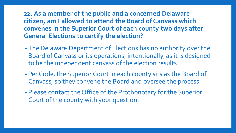#### **22. As a member of the public and a concerned Delaware citizen, am I allowed to attend the Board of Canvass which convenes in the Superior Court of each county two days after General Elections to certify the election?**

- The Delaware Department of Elections has no authority over the Board of Canvass or its operations, intentionally, as it is designed to be the independent canvass of the election results.
- Per Code, the Superior Court in each county sits as the Board of Canvass, so they convene the Board and oversee the process.
- Please contact the Office of the Prothonotary for the Superior Court of the county with your question.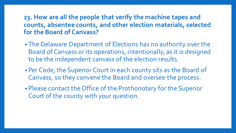#### **23. How are all the people that verify the machine tapes and counts, absentee counts, and other election materials, selected for the Board of Canvass?**

- The Delaware Department of Elections has no authority over the Board of Canvass or its operations, intentionally, as it is designed to be the independent canvass of the election results.
- Per Code, the Superior Court in each county sits as the Board of Canvass, so they convene the Board and oversee the process.
- Please contact the Office of the Prothonotary for the Superior Court of the county with your question.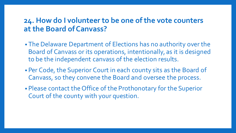#### **24. How do I volunteer to be one of the vote counters at the Board of Canvass?**

- The Delaware Department of Elections has no authority over the Board of Canvass or its operations, intentionally, as it is designed to be the independent canvass of the election results.
- Per Code, the Superior Court in each county sits as the Board of Canvass, so they convene the Board and oversee the process.
- Please contact the Office of the Prothonotary for the Superior Court of the county with your question.